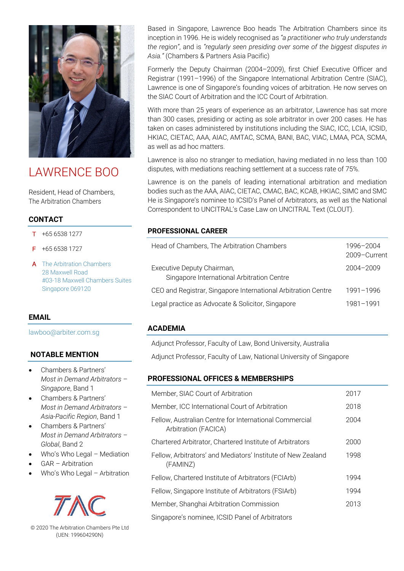

# LAWRENCE BOO

Resident, Head of Chambers, The Arbitration Chambers

# **CONTACT**

- T +65 6538 1277
- F +65 6538 1727
- A The Arbitration Chambers 28 Maxwell Road #03-18 Maxwell Chambers Suites Singapore 069120

## **EMAIL**

lawboo@arbiter.com.sg

# **NOTABLE MENTION**

- Chambers & Partners' *Most in Demand Arbitrators – Singapore*, Band 1
- Chambers & Partners' *Most in Demand Arbitrators – Asia-Pacific Region*, Band 1
- Chambers & Partners' *Most in Demand Arbitrators – Global*, Band 2
- Who's Who Legal Mediation
- GAR Arbitration
- Who's Who Legal Arbitration



© 2020 The Arbitration Chambers Pte Ltd (UEN: 199604290N)

Based in Singapore, Lawrence Boo heads The Arbitration Chambers since its inception in 1996. He is widely recognised as *"a practitioner who truly understands the region"*, and is *"regularly seen presiding over some of the biggest disputes in Asia."* (Chambers & Partners Asia Pacific)

Formerly the Deputy Chairman (2004–2009), first Chief Executive Officer and Registrar (1991–1996) of the Singapore International Arbitration Centre (SIAC), Lawrence is one of Singapore's founding voices of arbitration. He now serves on the SIAC Court of Arbitration and the ICC Court of Arbitration.

With more than 25 years of experience as an arbitrator, Lawrence has sat more than 300 cases, presiding or acting as sole arbitrator in over 200 cases. He has taken on cases administered by institutions including the SIAC, ICC, LCIA, ICSID, HKIAC, CIETAC, AAA, AIAC, AMTAC, SCMA, BANI, BAC, VIAC, LMAA, PCA, SCMA, as well as ad hoc matters.

Lawrence is also no stranger to mediation, having mediated in no less than 100 disputes, with mediations reaching settlement at a success rate of 75%.

Lawrence is on the panels of leading international arbitration and mediation bodies such as the AAA, AIAC, CIETAC, CMAC, BAC, KCAB, HKIAC, SIMC and SMC He is Singapore's nominee to ICSID's Panel of Arbitrators, as well as the National Correspondent to UNCITRAL's Case Law on UNCITRAL Text (CLOUT).

## **PROFESSIONAL CAREER**

| Head of Chambers, The Arbitration Chambers                               | 1996-2004<br>2009-Current |
|--------------------------------------------------------------------------|---------------------------|
| Executive Deputy Chairman,<br>Singapore International Arbitration Centre | $2004 - 2009$             |
| CEO and Registrar, Singapore International Arbitration Centre            | 1991-1996                 |
| Legal practice as Advocate & Solicitor, Singapore                        | 1981-1991                 |

## **ACADEMIA**

Adjunct Professor, Faculty of Law, Bond University, Australia

Adjunct Professor, Faculty of Law, National University of Singapore

# **PROFESSIONAL OFFICES & MEMBERSHIPS**

| Member, SIAC Court of Arbitration                                              | 2017 |
|--------------------------------------------------------------------------------|------|
| Member, ICC International Court of Arbitration                                 | 2018 |
| Fellow, Australian Centre for International Commercial<br>Arbitration (FACICA) | 2004 |
| Chartered Arbitrator, Chartered Institute of Arbitrators                       | 2000 |
| Fellow, Arbitrators' and Mediators' Institute of New Zealand<br>(FAMINZ)       | 1998 |
| Fellow, Chartered Institute of Arbitrators (FCIArb)                            | 1994 |
| Fellow, Singapore Institute of Arbitrators (FSIArb)                            | 1994 |
| Member, Shanghai Arbitration Commission                                        | 2013 |
| Singapore's nominee, ICSID Panel of Arbitrators                                |      |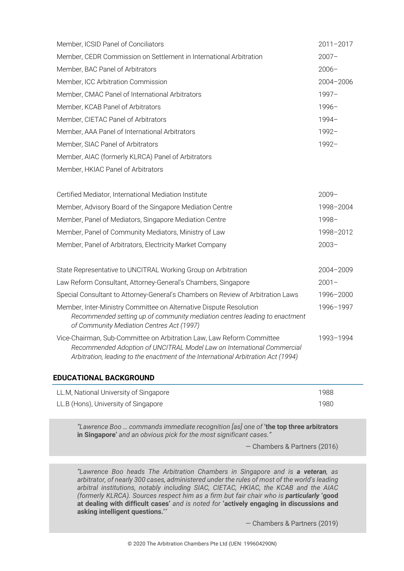| Member, ICSID Panel of Conciliators                                | $2011 - 2017$ |
|--------------------------------------------------------------------|---------------|
| Member, CEDR Commission on Settlement in International Arbitration | $2007 -$      |
| Member, BAC Panel of Arbitrators                                   | $2006-$       |
| Member, ICC Arbitration Commission                                 | $2004 - 2006$ |
| Member, CMAC Panel of International Arbitrators                    | $1997 -$      |
| Member, KCAB Panel of Arbitrators                                  | $1996-$       |
| Member, CIETAC Panel of Arbitrators                                | $1994 -$      |
| Member, AAA Panel of International Arbitrators                     | $1992 -$      |
| Member, SIAC Panel of Arbitrators                                  | $1992 -$      |
| Member, AIAC (formerly KLRCA) Panel of Arbitrators                 |               |
| Member, HKIAC Panel of Arbitrators                                 |               |

| $2009 -$  |
|-----------|
| 1998-2004 |
| $1998 -$  |
| 1998-2012 |
| $2003 -$  |
|           |

| State Representative to UNCITRAL Working Group on Arbitration                                                                                                                                                                        | 2004-2009 |
|--------------------------------------------------------------------------------------------------------------------------------------------------------------------------------------------------------------------------------------|-----------|
| Law Reform Consultant, Attorney-General's Chambers, Singapore                                                                                                                                                                        | $2001 -$  |
| Special Consultant to Attorney-General's Chambers on Review of Arbitration Laws                                                                                                                                                      | 1996-2000 |
| Member, Inter-Ministry Committee on Alternative Dispute Resolution<br>Recommended setting up of community mediation centres leading to enactment<br>of Community Mediation Centres Act (1997)                                        | 1996-1997 |
| Vice-Chairman, Sub-Committee on Arbitration Law, Law Reform Committee<br>Recommended Adoption of UNCITRAL Model Law on International Commercial<br>Arbitration, leading to the enactment of the International Arbitration Act (1994) | 1993-1994 |

#### **EDUCATIONAL BACKGROUND**

| LL.M, National University of Singapore | 1988 |
|----------------------------------------|------|
| LL.B (Hons), University of Singapore   | 1980 |

*"Lawrence Boo … commands immediate recognition [as] one of* **'the top three arbitrators in Singapore'** *and an obvious pick for the most significant cases."* 

— Chambers & Partners (2016)

*"Lawrence Boo heads The Arbitration Chambers in Singapore and is a veteran, as arbitrator, of nearly 300 cases, administered under the rules of most of the world's leading arbitral institutions, notably including SIAC, CIETAC, HKIAC, the KCAB and the AIAC (formerly KLRCA). Sources respect him as a firm but fair chair who is particularly 'good* **at dealing with difficult cases'** *and is noted for* **'actively engaging in discussions and asking intelligent questions.'***"*

— Chambers & Partners (2019)